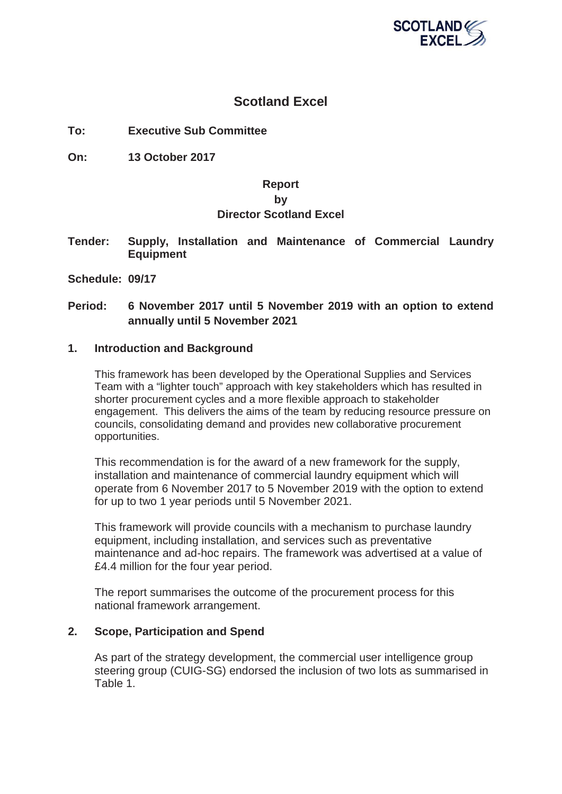

## **Scotland Excel**

**To: Executive Sub Committee**

**On: 13 October 2017**

#### **Report**

#### **by**

## **Director Scotland Excel**

**Tender: Supply, Installation and Maintenance of Commercial Laundry Equipment**

**Schedule: 09/17**

## **Period: 6 November 2017 until 5 November 2019 with an option to extend annually until 5 November 2021**

#### **1. Introduction and Background**

This framework has been developed by the Operational Supplies and Services Team with a "lighter touch" approach with key stakeholders which has resulted in shorter procurement cycles and a more flexible approach to stakeholder engagement. This delivers the aims of the team by reducing resource pressure on councils, consolidating demand and provides new collaborative procurement opportunities.

This recommendation is for the award of a new framework for the supply, installation and maintenance of commercial laundry equipment which will operate from 6 November 2017 to 5 November 2019 with the option to extend for up to two 1 year periods until 5 November 2021.

This framework will provide councils with a mechanism to purchase laundry equipment, including installation, and services such as preventative maintenance and ad-hoc repairs. The framework was advertised at a value of £4.4 million for the four year period.

The report summarises the outcome of the procurement process for this national framework arrangement.

#### **2. Scope, Participation and Spend**

As part of the strategy development, the commercial user intelligence group steering group (CUIG-SG) endorsed the inclusion of two lots as summarised in Table 1.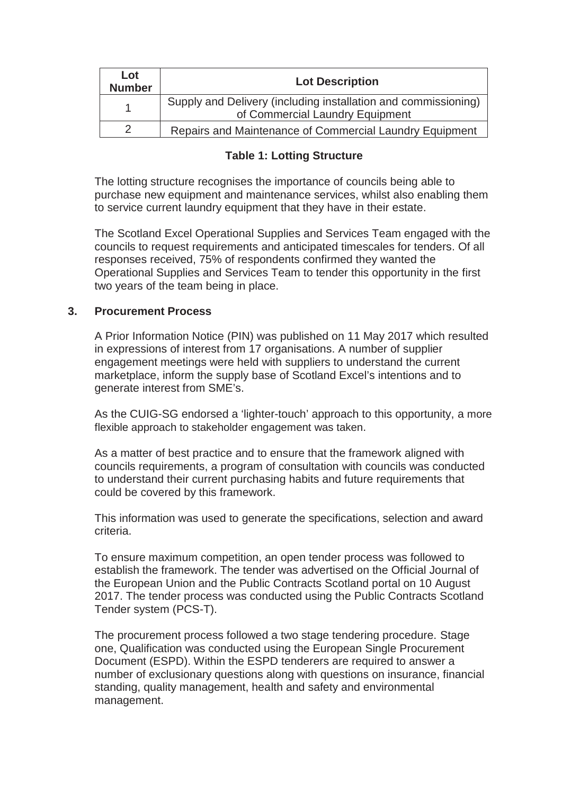| Lot<br><b>Number</b> | <b>Lot Description</b>                                                                            |
|----------------------|---------------------------------------------------------------------------------------------------|
|                      | Supply and Delivery (including installation and commissioning)<br>of Commercial Laundry Equipment |
|                      | Repairs and Maintenance of Commercial Laundry Equipment                                           |

## **Table 1: Lotting Structure**

The lotting structure recognises the importance of councils being able to purchase new equipment and maintenance services, whilst also enabling them to service current laundry equipment that they have in their estate.

The Scotland Excel Operational Supplies and Services Team engaged with the councils to request requirements and anticipated timescales for tenders. Of all responses received, 75% of respondents confirmed they wanted the Operational Supplies and Services Team to tender this opportunity in the first two years of the team being in place.

#### **3. Procurement Process**

A Prior Information Notice (PIN) was published on 11 May 2017 which resulted in expressions of interest from 17 organisations. A number of supplier engagement meetings were held with suppliers to understand the current marketplace, inform the supply base of Scotland Excel's intentions and to generate interest from SME's.

As the CUIG-SG endorsed a 'lighter-touch' approach to this opportunity, a more flexible approach to stakeholder engagement was taken.

As a matter of best practice and to ensure that the framework aligned with councils requirements, a program of consultation with councils was conducted to understand their current purchasing habits and future requirements that could be covered by this framework.

This information was used to generate the specifications, selection and award criteria.

To ensure maximum competition, an open tender process was followed to establish the framework. The tender was advertised on the Official Journal of the European Union and the Public Contracts Scotland portal on 10 August 2017. The tender process was conducted using the Public Contracts Scotland Tender system (PCS-T).

The procurement process followed a two stage tendering procedure. Stage one, Qualification was conducted using the European Single Procurement Document (ESPD). Within the ESPD tenderers are required to answer a number of exclusionary questions along with questions on insurance, financial standing, quality management, health and safety and environmental management.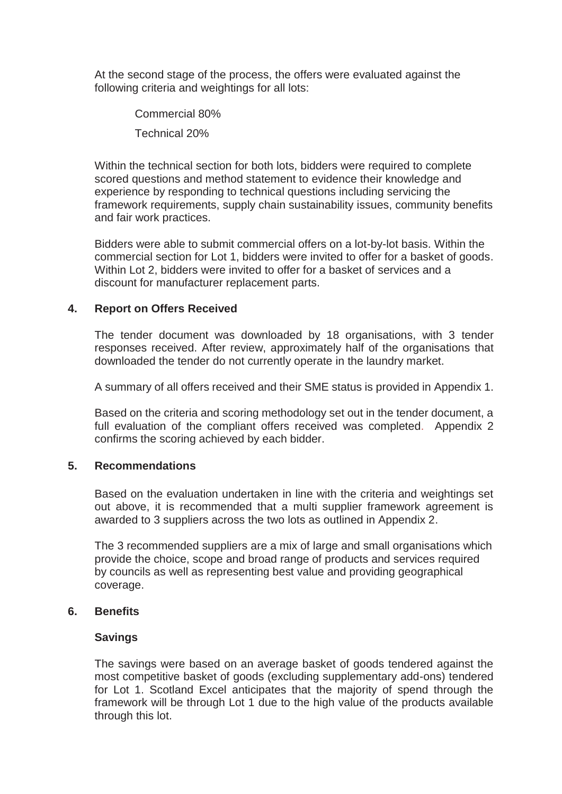At the second stage of the process, the offers were evaluated against the following criteria and weightings for all lots:

> Commercial 80% Technical 20%

Within the technical section for both lots, bidders were required to complete scored questions and method statement to evidence their knowledge and experience by responding to technical questions including servicing the framework requirements, supply chain sustainability issues, community benefits and fair work practices.

Bidders were able to submit commercial offers on a lot-by-lot basis. Within the commercial section for Lot 1, bidders were invited to offer for a basket of goods. Within Lot 2, bidders were invited to offer for a basket of services and a discount for manufacturer replacement parts.

## **4. Report on Offers Received**

The tender document was downloaded by 18 organisations, with 3 tender responses received. After review, approximately half of the organisations that downloaded the tender do not currently operate in the laundry market.

A summary of all offers received and their SME status is provided in Appendix 1.

Based on the criteria and scoring methodology set out in the tender document, a full evaluation of the compliant offers received was completed. Appendix 2 confirms the scoring achieved by each bidder.

### **5. Recommendations**

Based on the evaluation undertaken in line with the criteria and weightings set out above, it is recommended that a multi supplier framework agreement is awarded to 3 suppliers across the two lots as outlined in Appendix 2.

The 3 recommended suppliers are a mix of large and small organisations which provide the choice, scope and broad range of products and services required by councils as well as representing best value and providing geographical coverage.

#### **6. Benefits**

#### **Savings**

The savings were based on an average basket of goods tendered against the most competitive basket of goods (excluding supplementary add-ons) tendered for Lot 1. Scotland Excel anticipates that the majority of spend through the framework will be through Lot 1 due to the high value of the products available through this lot.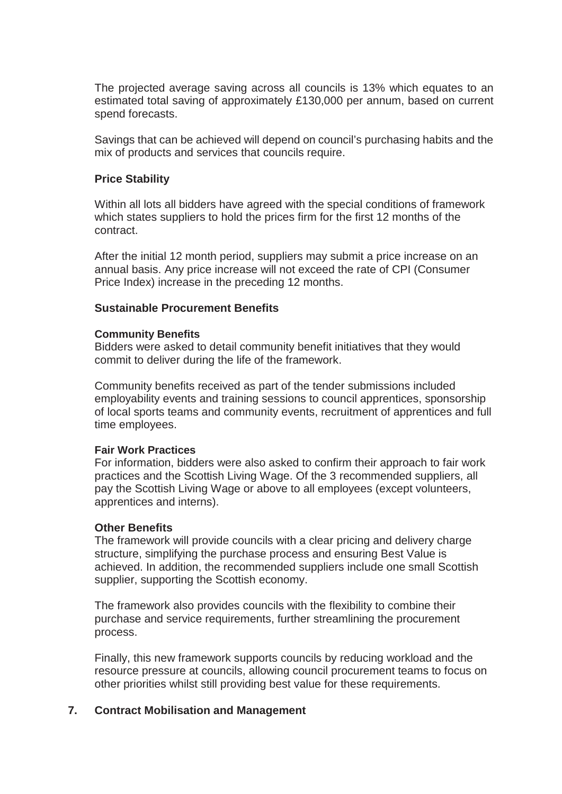The projected average saving across all councils is 13% which equates to an estimated total saving of approximately £130,000 per annum, based on current spend forecasts.

Savings that can be achieved will depend on council's purchasing habits and the mix of products and services that councils require.

#### **Price Stability**

Within all lots all bidders have agreed with the special conditions of framework which states suppliers to hold the prices firm for the first 12 months of the contract.

After the initial 12 month period, suppliers may submit a price increase on an annual basis. Any price increase will not exceed the rate of CPI (Consumer Price Index) increase in the preceding 12 months.

#### **Sustainable Procurement Benefits**

#### **Community Benefits**

Bidders were asked to detail community benefit initiatives that they would commit to deliver during the life of the framework.

Community benefits received as part of the tender submissions included employability events and training sessions to council apprentices, sponsorship of local sports teams and community events, recruitment of apprentices and full time employees.

#### **Fair Work Practices**

For information, bidders were also asked to confirm their approach to fair work practices and the Scottish Living Wage. Of the 3 recommended suppliers, all pay the Scottish Living Wage or above to all employees (except volunteers, apprentices and interns).

#### **Other Benefits**

The framework will provide councils with a clear pricing and delivery charge structure, simplifying the purchase process and ensuring Best Value is achieved. In addition, the recommended suppliers include one small Scottish supplier, supporting the Scottish economy.

The framework also provides councils with the flexibility to combine their purchase and service requirements, further streamlining the procurement process.

Finally, this new framework supports councils by reducing workload and the resource pressure at councils, allowing council procurement teams to focus on other priorities whilst still providing best value for these requirements.

#### **7. Contract Mobilisation and Management**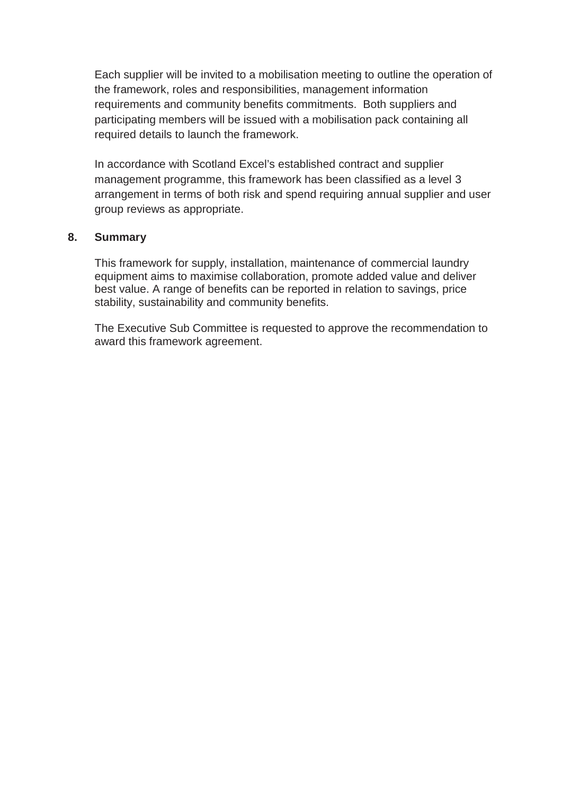Each supplier will be invited to a mobilisation meeting to outline the operation of the framework, roles and responsibilities, management information requirements and community benefits commitments. Both suppliers and participating members will be issued with a mobilisation pack containing all required details to launch the framework.

In accordance with Scotland Excel's established contract and supplier management programme, this framework has been classified as a level 3 arrangement in terms of both risk and spend requiring annual supplier and user group reviews as appropriate.

## **8. Summary**

This framework for supply, installation, maintenance of commercial laundry equipment aims to maximise collaboration, promote added value and deliver best value. A range of benefits can be reported in relation to savings, price stability, sustainability and community benefits.

The Executive Sub Committee is requested to approve the recommendation to award this framework agreement.